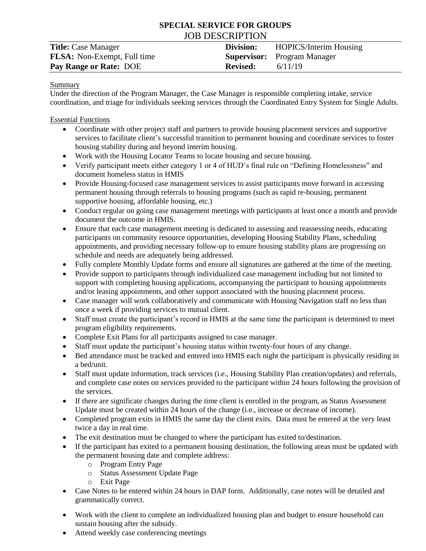# **SPECIAL SERVICE FOR GROUPS** JOB DESCRIPTION

| <b>Title:</b> Case Manager         | Division:       | <b>HOPICS/Interim Housing</b>      |
|------------------------------------|-----------------|------------------------------------|
| <b>FLSA:</b> Non-Exempt, Full time |                 | <b>Supervisor:</b> Program Manager |
| Pay Range or Rate: DOE             | <b>Revised:</b> | 6/11/19                            |

#### **Summary**

Under the direction of the Program Manager, the Case Manager is responsible completing intake, service coordination, and triage for individuals seeking services through the Coordinated Entry System for Single Adults.

#### Essential Functions

- Coordinate with other project staff and partners to provide housing placement services and supportive services to facilitate client's successful transition to permanent housing and coordinate services to foster housing stability during and beyond interim housing.
- Work with the Housing Locator Teams to locate housing and secure housing.
- Verify participant meets either category 1 or 4 of HUD's final rule on "Defining Homelessness" and document homeless status in HMIS
- Provide Housing-focused case management services to assist participants move forward in accessing permanent housing through referrals to housing programs (such as rapid re-housing, permanent supportive housing, affordable housing, etc.)
- Conduct regular on going case management meetings with participants at least once a month and provide document the outcome in HMIS.
- Ensure that each case management meeting is dedicated to assessing and reassessing needs, educating participants on community resource opportunities, developing Housing Stability Plans, scheduling appointments, and providing necessary follow-up to ensure housing stability plans are progressing on schedule and needs are adequately being addressed.
- Fully complete Monthly Update forms and ensure all signatures are gathered at the time of the meeting.
- Provide support to participants through individualized case management including but not limited to support with completing housing applications, accompanying the participant to housing appointments and/or leasing appointments, and other support associated with the housing placement process.
- Case manager will work collaboratively and communicate with Housing Navigation staff no less than once a week if providing services to mutual client.
- Staff must create the participant's record in HMIS at the same time the participant is determined to meet program eligibility requirements.
- Complete Exit Plans for all participants assigned to case manager.
- Staff must update the participant's housing status within twenty-four hours of any change.
- Bed attendance must be tracked and entered into HMIS each night the participant is physically residing in a bed/unit.
- Staff must update information, track services (i.e., Housing Stability Plan creation/updates) and referrals, and complete case notes on services provided to the participant within 24 hours following the provision of the services.
- If there are significate changes during the time client is enrolled in the program, as Status Assessment Update must be created within 24 hours of the change (i.e., increase or decrease of income).
- Completed program exits in HMIS the same day the client exits. Data must be entered at the very least twice a day in real time.
- The exit destination must be changed to where the participant has exited to/destination.
- If the participant has exited to a permanent housing destination, the following areas must be updated with the permanent housing date and complete address:
	- o Program Entry Page
	- o Status Assessment Update Page
	- o Exit Page
- Case Notes to be entered within 24 hours in DAP form. Additionally, case notes will be detailed and grammatically correct.
- Work with the client to complete an individualized housing plan and budget to ensure household can sustain housing after the subsidy.
- Attend weekly case conferencing meetings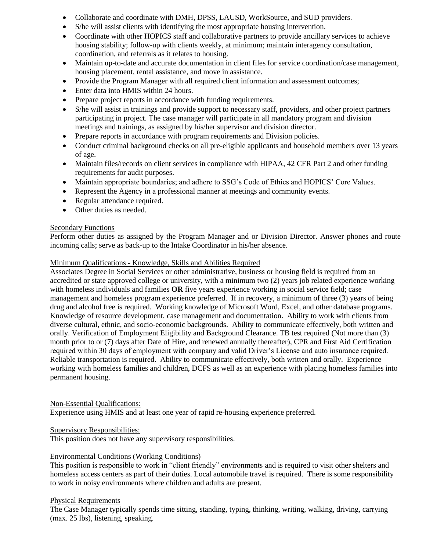- Collaborate and coordinate with DMH, DPSS, LAUSD, WorkSource, and SUD providers.
- S/he will assist clients with identifying the most appropriate housing intervention.
- Coordinate with other HOPICS staff and collaborative partners to provide ancillary services to achieve housing stability; follow-up with clients weekly, at minimum; maintain interagency consultation, coordination, and referrals as it relates to housing.
- Maintain up-to-date and accurate documentation in client files for service coordination/case management, housing placement, rental assistance, and move in assistance.
- Provide the Program Manager with all required client information and assessment outcomes;
- Enter data into HMIS within 24 hours.
- Prepare project reports in accordance with funding requirements.
- S/he will assist in trainings and provide support to necessary staff, providers, and other project partners participating in project. The case manager will participate in all mandatory program and division meetings and trainings, as assigned by his/her supervisor and division director.
- Prepare reports in accordance with program requirements and Division policies.
- Conduct criminal background checks on all pre-eligible applicants and household members over 13 years of age.
- Maintain files/records on client services in compliance with HIPAA, 42 CFR Part 2 and other funding requirements for audit purposes.
- Maintain appropriate boundaries; and adhere to SSG's Code of Ethics and HOPICS' Core Values.
- Represent the Agency in a professional manner at meetings and community events.
- Regular attendance required.
- Other duties as needed.

#### Secondary Functions

Perform other duties as assigned by the Program Manager and or Division Director. Answer phones and route incoming calls; serve as back-up to the Intake Coordinator in his/her absence.

#### Minimum Qualifications - Knowledge, Skills and Abilities Required

Associates Degree in Social Services or other administrative, business or housing field is required from an accredited or state approved college or university, with a minimum two (2) years job related experience working with homeless individuals and families **OR** five years experience working in social service field; case management and homeless program experience preferred. If in recovery, a minimum of three (3) years of being drug and alcohol free is required. Working knowledge of Microsoft Word, Excel, and other database programs. Knowledge of resource development, case management and documentation. Ability to work with clients from diverse cultural, ethnic, and socio-economic backgrounds. Ability to communicate effectively, both written and orally. Verification of Employment Eligibility and Background Clearance. TB test required (Not more than (3) month prior to or (7) days after Date of Hire, and renewed annually thereafter), CPR and First Aid Certification required within 30 days of employment with company and valid Driver's License and auto insurance required. Reliable transportation is required. Ability to communicate effectively, both written and orally. Experience working with homeless families and children, DCFS as well as an experience with placing homeless families into permanent housing.

#### Non-Essential Qualifications:

Experience using HMIS and at least one year of rapid re-housing experience preferred.

#### Supervisory Responsibilities:

This position does not have any supervisory responsibilities.

### Environmental Conditions (Working Conditions)

This position is responsible to work in "client friendly" environments and is required to visit other shelters and homeless access centers as part of their duties. Local automobile travel is required. There is some responsibility to work in noisy environments where children and adults are present.

#### Physical Requirements

The Case Manager typically spends time sitting, standing, typing, thinking, writing, walking, driving, carrying (max. 25 lbs), listening, speaking.